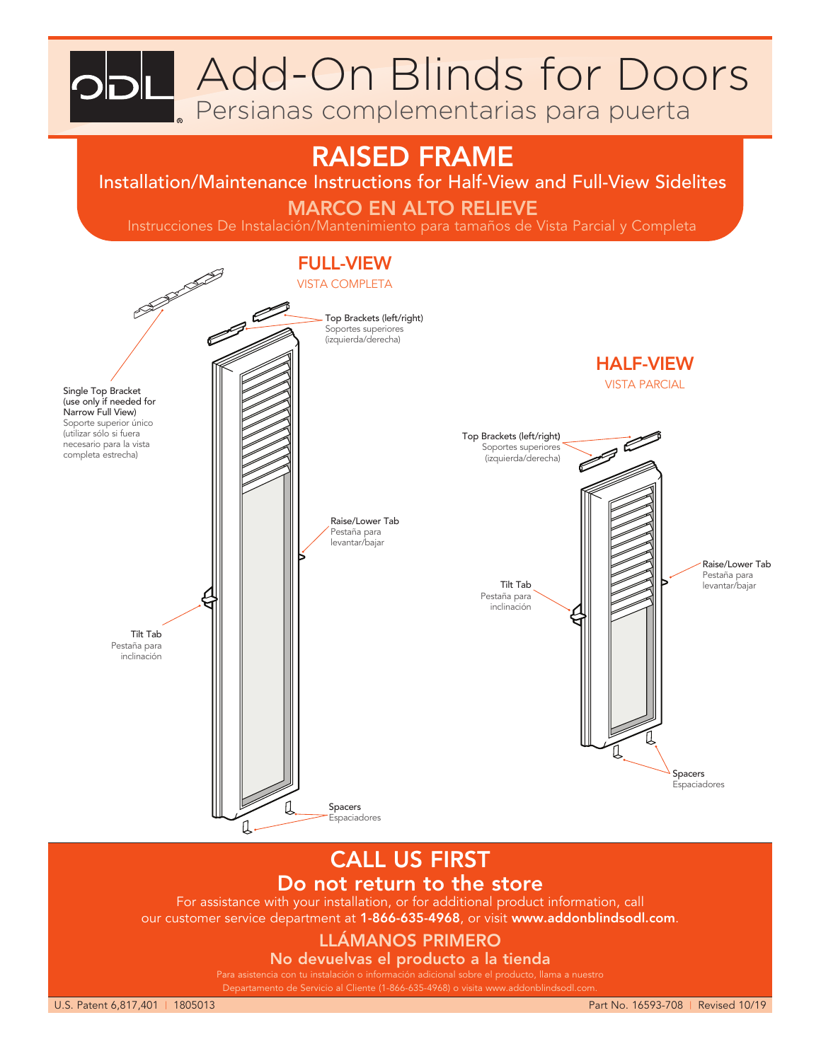**Add-On Blinds for Doors** 

Persianas complementarias para puerta

# RAISED FRAME

Installation/Maintenance Instructions for Half-View and Full-View Sidelites

### MARCO EN ALTO RELIEVE

Instrucciones De Instalación/Mantenimiento para tamaños de Vista Parcial y Completa



## CALL US FIRST Do not return to the store

For assistance with your installation, or for additional product information, call our customer service department at 1-866-635-4968, or visit www.addonblindsodl.com.

## LLÁMANOS PRIMERO

No devuelvas el producto a la tienda

Para asistencia con tu instalación o información adicional sobre el producto, llama a nuestro Departamento de Servicio al Cliente (1-866-635-4968) o visita www.addonblindsodl.com.

U.S. Patent 6,817,401 | 1805013 Part No. 16593-708 | Revised 10/19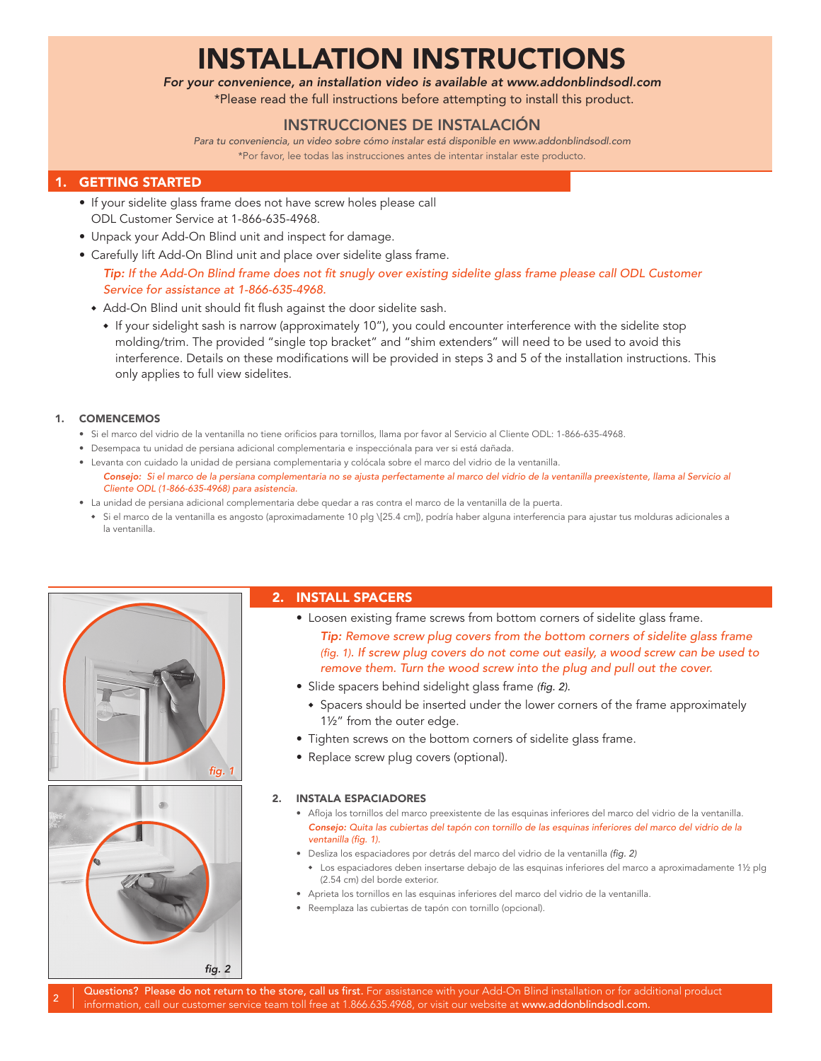# INSTALLATION INSTRUCTIONS

*For your convenience, an installation video is available at www.addonblindsodl.com*

\*Please read the full instructions before attempting to install this product.

### INSTRUCCIONES DE INSTALACIÓN

*Para tu conveniencia, un video sobre cómo instalar está disponible en www.addonblindsodl.com* \*Por favor, lee todas las instrucciones antes de intentar instalar este producto.

### 1. GETTING STARTED

- If your sidelite glass frame does not have screw holes please call ODL Customer Service at 1-866-635-4968.
- Unpack your Add-On Blind unit and inspect for damage.
- Carefully lift Add-On Blind unit and place over sidelite glass frame.

 *Tip: If the Add-On Blind frame does not fit snugly over existing sidelite glass frame please call ODL Customer Service for assistance at 1-866-635-4968.*

- Add-On Blind unit should fit flush against the door sidelite sash.
	- <sup>u</sup> If your sidelight sash is narrow (approximately 10"), you could encounter interference with the sidelite stop molding/trim. The provided "single top bracket" and "shim extenders" will need to be used to avoid this interference. Details on these modifications will be provided in steps 3 and 5 of the installation instructions. This only applies to full view sidelites.

### 1. COMENCEMOS

- Si el marco del vidrio de la ventanilla no tiene orificios para tornillos, llama por favor al Servicio al Cliente ODL: 1-866-635-4968.
- Desempaca tu unidad de persiana adicional complementaria e inspecciónala para ver si está dañada.
- Levanta con cuidado la unidad de persiana complementaria y colócala sobre el marco del vidrio de la ventanilla. *Consejo: Si el marco de la persiana complementaria no se ajusta perfectamente al marco del vidrio de la ventanilla preexistente, llama al Servicio al Cliente ODL (1-866-635-4968) para asistencia.*
- La unidad de persiana adicional complementaria debe quedar a ras contra el marco de la ventanilla de la puerta.
- Si el marco de la ventanilla es angosto (aproximadamente 10 plg \[25.4 cm]), podría haber alguna interferencia para ajustar tus molduras adicionales a la ventanilla.



### 2. INSTALL SPACERS

- 2  *Tip: Remove screw plug covers from the bottom corners of sidelite glass frame*  • Loosen existing frame screws from bottom corners of sidelite glass frame. *(fig. 1). If screw plug covers do not come out easily, a wood screw can be used to remove them. Turn the wood screw into the plug and pull out the cover.*
	- Slide spacers behind sidelight glass frame *(fig. 2).*
		- Spacers should be inserted under the lower corners of the frame approximately 1½" from the outer edge.
	- Tighten screws on the bottom corners of sidelite glass frame.
	- Replace screw plug covers (optional).

### 2. INSTALA ESPACIADORES

- Afloja los tornillos del marco preexistente de las esquinas inferiores del marco del vidrio de la ventanilla. *Consejo: Quita las cubiertas del tapón con tornillo de las esquinas inferiores del marco del vidrio de la ventanilla (fig. 1).*
- Desliza los espaciadores por detrás del marco del vidrio de la ventanilla *(fig. 2)*
	- Los espaciadores deben insertarse debajo de las esquinas inferiores del marco a aproximadamente 1½ plg (2.54 cm) del borde exterior.
- Aprieta los tornillos en las esquinas inferiores del marco del vidrio de la ventanilla.
- Reemplaza las cubiertas de tapón con tornillo (opcional).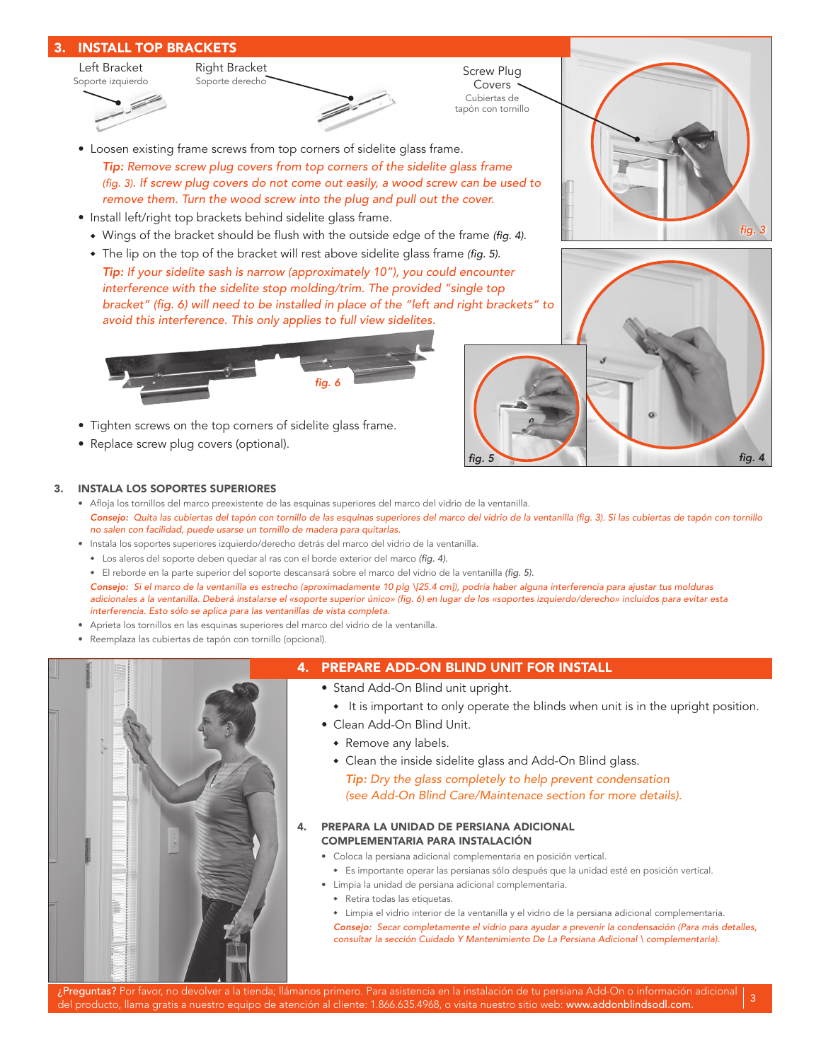

• Replace screw plug covers (optional).

#### 3. INSTALA LOS SOPORTES SUPERIORES

- Afloja los tornillos del marco preexistente de las esquinas superiores del marco del vidrio de la ventanilla. *Consejo: Quita las cubiertas del tapón con tornillo de las esquinas superiores del marco del vidrio de la ventanilla (fig. 3). Si las cubiertas de tapón con tornillo no salen con facilidad, puede usarse un tornillo de madera para quitarlas.*
- Instala los soportes superiores izquierdo/derecho detrás del marco del vidrio de la ventanilla.
- \* Los aleros del soporte deben quedar al ras con el borde exterior del marco *(fig. 4)*.
- <sup>u</sup> El reborde en la parte superior del soporte descansará sobre el marco del vidrio de la ventanilla *(fig. 5).*

 *Consejo: Si el marco de la ventanilla es estrecho (aproximadamente 10 plg \[25.4 cm]), podría haber alguna interferencia para ajustar tus molduras adicionales a la ventanilla. Deberá instalarse el «soporte superior único» (fig. 6) en lugar de los «soportes izquierdo/derecho» incluidos para evitar esta interferencia. Esto sólo se aplica para las ventanillas de vista completa.*

- Aprieta los tornillos en las esquinas superiores del marco del vidrio de la ventanilla.
- Reemplaza las cubiertas de tapón con tornillo (opcional).



### 4. PREPARE ADD-ON BLIND UNIT FOR INSTALL

- Stand Add-On Blind unit upright.
	- It is important to only operate the blinds when unit is in the upright position.

*fig. 5 fig. 4*

- Clean Add-On Blind Unit.
	- **•** Remove any labels.
	- Clean the inside sidelite glass and Add-On Blind glass.  *Tip: Dry the glass completely to help prevent condensation*

*(see Add-On Blind Care/Maintenace section for more details).*

#### 4. PREPARA LA UNIDAD DE PERSIANA ADICIONAL COMPLEMENTARIA PARA INSTALACIÓN

- Coloca la persiana adicional complementaria en posición vertical.
	- $\bullet$  Es importante operar las persianas sólo después que la unidad esté en posición vertical.
- Limpia la unidad de persiana adicional complementaria.
- Retira todas las etiquetas.
- Limpia el vidrio interior de la ventanilla y el vidrio de la persiana adicional complementaria.

 *Consejo: Secar completamente el vidrio para ayudar a prevenir la condensación (Para más detalles, consultar la sección Cuidado Y Mantenimiento De La Persiana Adicional \ complementaria).*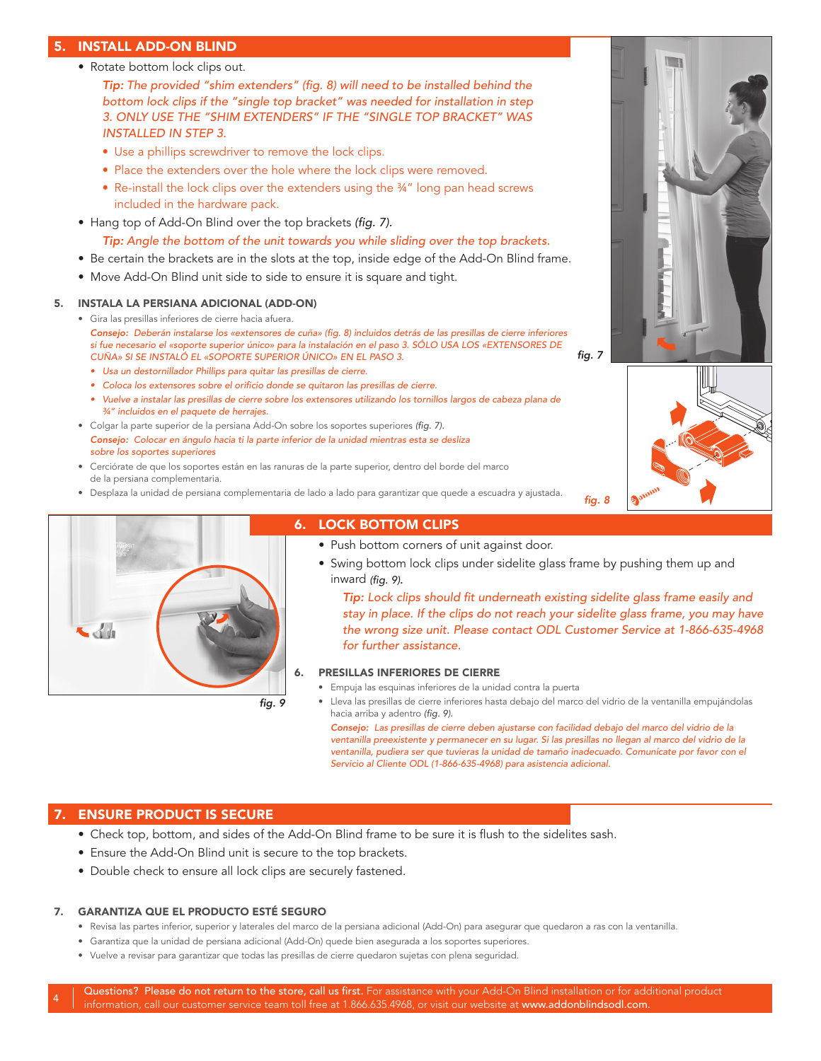### 5. INSTALL ADD-ON BLIND

• Rotate bottom lock clips out.

 *Tip: The provided "shim extenders" (fig. 8) will need to be installed behind the bottom lock clips if the "single top bracket" was needed for installation in step 3. ONLY USE THE "SHIM EXTENDERS" IF THE "SINGLE TOP BRACKET" WAS INSTALLED IN STEP 3.*

- Use a phillips screwdriver to remove the lock clips.
- Place the extenders over the hole where the lock clips were removed.
- Re-install the lock clips over the extenders using the 34" long pan head screws included in the hardware pack.
- Hang top of Add-On Blind over the top brackets *(fig. 7).*
	- *Tip: Angle the bottom of the unit towards you while sliding over the top brackets.*
- Be certain the brackets are in the slots at the top, inside edge of the Add-On Blind frame.
- Move Add-On Blind unit side to side to ensure it is square and tight.

#### 5. INSTALA LA PERSIANA ADICIONAL (ADD-ON)

- Gira las presillas inferiores de cierre hacia afuera. *Consejo: Deberán instalarse los «extensores de cuña» (fig. 8) incluidos detrás de las presillas de cierre inferiores si fue necesario el «soporte superior único» para la instalación en el paso 3. SÓLO USA LOS «EXTENSORES DE CUÑA» SI SE INSTALÓ EL «SOPORTE SUPERIOR ÚNICO» EN EL PASO 3.*
	- *• Usa un destornillador Phillips para quitar las presillas de cierre.*
	- *• Coloca los extensores sobre el orificio donde se quitaron las presillas de cierre.*
	- *• Vuelve a instalar las presillas de cierre sobre los extensores utilizando los tornillos largos de cabeza plana de ¾" incluidos en el paquete de herrajes.*
- Colgar la parte superior de la persiana Add-On sobre los soportes superiores *(fig. 7). Consejo: Colocar en ángulo hacia ti la parte inferior de la unidad mientras esta se desliza sobre los soportes superiores*
- Cerciórate de que los soportes están en las ranuras de la parte superior, dentro del borde del marco de la persiana complementaria.
- Desplaza la unidad de persiana complementaria de lado a lado para garantizar que quede a escuadra y ajustada. *fig. 8*



### 6. LOCK BOTTOM CLIPS

- Push bottom corners of unit against door.
- Swing bottom lock clips under sidelite glass frame by pushing them up and inward *(fig. 9)*.

4 *the wrong size unit. Please contact ODL Customer Service at 1-866-635-4968 Tip: Lock clips should fit underneath existing sidelite glass frame easily and stay in place. If the clips do not reach your sidelite glass frame, you may have for further assistance.*

#### 6. PRESILLAS INFERIORES DE CIERRE

- Empuja las esquinas inferiores de la unidad contra la puerta
- Lleva las presillas de cierre inferiores hasta debajo del marco del vidrio de la ventanilla empujándolas hacia arriba y adentro *(fig. 9).*

 *Consejo: Las presillas de cierre deben ajustarse con facilidad debajo del marco del vidrio de la ventanilla preexistente y permanecer en su lugar. Si las presillas no llegan al marco del vidrio de la ventanilla, pudiera ser que tuvieras la unidad de tamaño inadecuado. Comunícate por favor con el Servicio al Cliente ODL (1-866-635-4968) para asistencia adicional.*

### 7. ENSURE PRODUCT IS SECURE

- Check top, bottom, and sides of the Add-On Blind frame to be sure it is flush to the sidelites sash.
- Ensure the Add-On Blind unit is secure to the top brackets.
- Double check to ensure all lock clips are securely fastened.

#### 7. GARANTIZA QUE EL PRODUCTO ESTÉ SEGURO

- Revisa las partes inferior, superior y laterales del marco de la persiana adicional (Add-On) para asegurar que quedaron a ras con la ventanilla.
- Garantiza que la unidad de persiana adicional (Add-On) quede bien asegurada a los soportes superiores.
- Vuelve a revisar para garantizar que todas las presillas de cierre quedaron sujetas con plena seguridad.



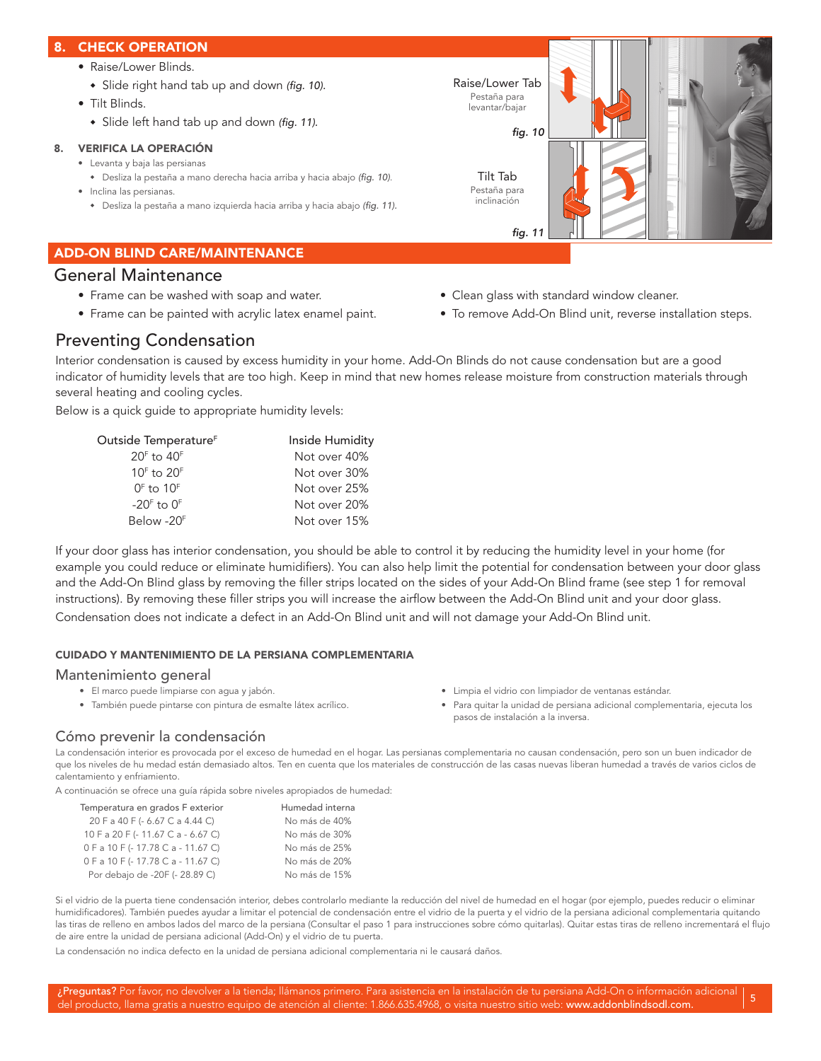### 8. CHECK OPERATION

- Raise/Lower Blinds.
- $\bullet$  Slide right hand tab up and down *(fig. 10)*.
- Tilt Blinds.
	- \* Slide left hand tab up and down *(fig. 11)*.

### 8. VERIFICA LA OPERACIÓN

- Levanta y baja las persianas
- <sup>u</sup> Desliza la pestaña a mano derecha hacia arriba y hacia abajo *(fig. 10)*. • Inclina las persianas.
	- <sup>u</sup> Desliza la pestaña a mano izquierda hacia arriba y hacia abajo *(fig. 11).*

### ADD-ON BLIND CARE/MAINTENANCE

### General Maintenance

- Frame can be washed with soap and water. • Clean glass with standard window cleaner.
- 
- 
- Frame can be painted with acrylic latex enamel paint. To remove Add-On Blind unit, reverse installation steps.

### Preventing Condensation

Interior condensation is caused by excess humidity in your home. Add-On Blinds do not cause condensation but are a good indicator of humidity levels that are too high. Keep in mind that new homes release moisture from construction materials through several heating and cooling cycles.

Below is a quick guide to appropriate humidity levels:

| Outside Temperature <sup>r</sup> | Inside Humidity |
|----------------------------------|-----------------|
| $20F$ to $40F$                   | Not over 40%    |
| $10F$ to $20F$                   | Not over 30%    |
| $0F$ to $10F$                    | Not over 25%    |
| $-20F$ to $0F$                   | Not over 20%    |
| Below -20F                       | Not over 15%    |

If your door glass has interior condensation, you should be able to control it by reducing the humidity level in your home (for example you could reduce or eliminate humidifiers). You can also help limit the potential for condensation between your door glass and the Add-On Blind glass by removing the filler strips located on the sides of your Add-On Blind frame (see step 1 for removal instructions). By removing these filler strips you will increase the airflow between the Add-On Blind unit and your door glass. Condensation does not indicate a defect in an Add-On Blind unit and will not damage your Add-On Blind unit.

### CUIDADO Y MANTENIMIENTO DE LA PERSIANA COMPLEMENTARIA

### Mantenimiento general

- 
- 
- El marco puede limpiarse con agua y jabón. Limpia el vidrio con limpiador de ventanas estándar.
- También puede pintarse con pintura de esmalte látex acrílico. Para quitar la unidad de persiana adicional complementaria, ejecuta los pasos de instalación a la inversa.

### Cómo prevenir la condensación

La condensación interior es provocada por el exceso de humedad en el hogar. Las persianas complementaria no causan condensación, pero son un buen indicador de que los niveles de hu medad están demasiado altos. Ten en cuenta que los materiales de construcción de las casas nuevas liberan humedad a través de varios ciclos de calentamiento y enfriamiento.

A continuación se ofrece una guía rápida sobre niveles apropiados de humedad:

| Temperatura en grados F exterior   | Humedad interna |
|------------------------------------|-----------------|
| 20 F a 40 F (- 6.67 C a 4.44 C)    | No más de 40%   |
| 10 F a 20 F (- 11.67 C a - 6.67 C) | No más de 30%   |
| 0 F a 10 F (-17.78 C a - 11.67 C)  | No más de 25%   |
| 0 F a 10 F (-17.78 C a - 11.67 C)  | No más de 20%   |
| Por debajo de -20F (- 28.89 C)     | No más de 15%   |

Si el vidrio de la puerta tiene condensación interior, debes controlarlo mediante la reducción del nivel de humedad en el hogar (por ejemplo, puedes reducir o eliminar humidificadores). También puedes ayudar a limitar el potencial de condensación entre el vidrio de la puerta y el vidrio de la persiana adicional complementaria quitando las tiras de relleno en ambos lados del marco de la persiana (Consultar el paso 1 para instrucciones sobre cómo quitarlas). Quitar estas tiras de relleno incrementará el flujo de aire entre la unidad de persiana adicional (Add-On) y el vidrio de tu puerta.

La condensación no indica defecto en la unidad de persiana adicional complementaria ni le causará daños.

¿Preguntas? Por favor, no devolver a la tienda; llámanos primero. Para asistencia en la instalación de tu persiana Add-On o información adicional del producto, llama gratis a nuestro equipo de atención al cliente: 1.866.635.4968, o visita nuestro sitio web: www.addonblindsodl.com.  $\binom{5}{3}$ 

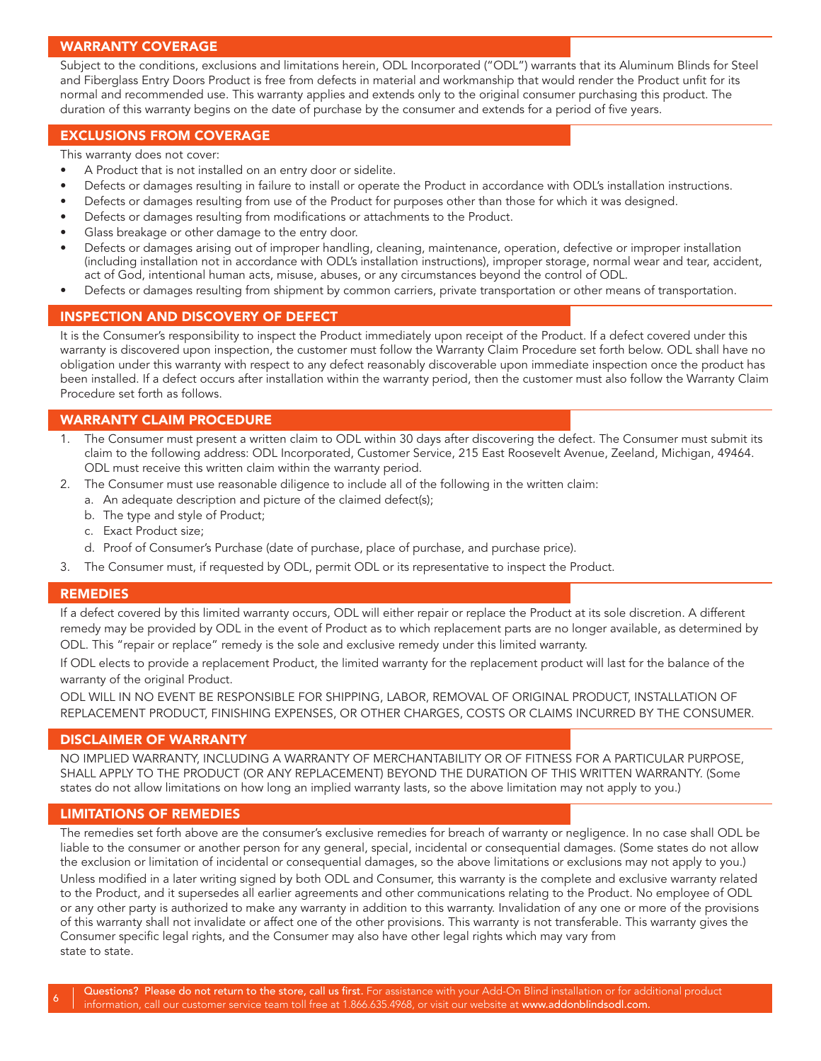### WARRANTY COVERAGE

Subject to the conditions, exclusions and limitations herein, ODL Incorporated ("ODL") warrants that its Aluminum Blinds for Steel and Fiberglass Entry Doors Product is free from defects in material and workmanship that would render the Product unfit for its normal and recommended use. This warranty applies and extends only to the original consumer purchasing this product. The duration of this warranty begins on the date of purchase by the consumer and extends for a period of five years.

### EXCLUSIONS FROM COVERAGE

This warranty does not cover:

- A Product that is not installed on an entry door or sidelite.
- Defects or damages resulting in failure to install or operate the Product in accordance with ODL's installation instructions.
- Defects or damages resulting from use of the Product for purposes other than those for which it was designed.
- Defects or damages resulting from modifications or attachments to the Product.
- Glass breakage or other damage to the entry door.
- Defects or damages arising out of improper handling, cleaning, maintenance, operation, defective or improper installation (including installation not in accordance with ODL's installation instructions), improper storage, normal wear and tear, accident, act of God, intentional human acts, misuse, abuses, or any circumstances beyond the control of ODL.
- Defects or damages resulting from shipment by common carriers, private transportation or other means of transportation.

### INSPECTION AND DISCOVERY OF DEFECT

It is the Consumer's responsibility to inspect the Product immediately upon receipt of the Product. If a defect covered under this warranty is discovered upon inspection, the customer must follow the Warranty Claim Procedure set forth below. ODL shall have no obligation under this warranty with respect to any defect reasonably discoverable upon immediate inspection once the product has been installed. If a defect occurs after installation within the warranty period, then the customer must also follow the Warranty Claim Procedure set forth as follows.

### WARRANTY CLAIM PROCEDURE

- 1. The Consumer must present a written claim to ODL within 30 days after discovering the defect. The Consumer must submit its claim to the following address: ODL Incorporated, Customer Service, 215 East Roosevelt Avenue, Zeeland, Michigan, 49464. ODL must receive this written claim within the warranty period.
- 2. The Consumer must use reasonable diligence to include all of the following in the written claim:
	- a. An adequate description and picture of the claimed defect(s);
		- b. The type and style of Product;
	- c. Exact Product size;
	- d. Proof of Consumer's Purchase (date of purchase, place of purchase, and purchase price).
- 3. The Consumer must, if requested by ODL, permit ODL or its representative to inspect the Product.

### REMEDIES

6 remedy may be provided by ODL in the event of Product as to which replacement parts are no longer available, as determined by If a defect covered by this limited warranty occurs, ODL will either repair or replace the Product at its sole discretion. A different ODL. This "repair or replace" remedy is the sole and exclusive remedy under this limited warranty.

If ODL elects to provide a replacement Product, the limited warranty for the replacement product will last for the balance of the warranty of the original Product.

ODL WILL IN NO EVENT BE RESPONSIBLE FOR SHIPPING, LABOR, REMOVAL OF ORIGINAL PRODUCT, INSTALLATION OF REPLACEMENT PRODUCT, FINISHING EXPENSES, OR OTHER CHARGES, COSTS OR CLAIMS INCURRED BY THE CONSUMER.

### DISCLAIMER OF WARRANTY

NO IMPLIED WARRANTY, INCLUDING A WARRANTY OF MERCHANTABILITY OR OF FITNESS FOR A PARTICULAR PURPOSE, SHALL APPLY TO THE PRODUCT (OR ANY REPLACEMENT) BEYOND THE DURATION OF THIS WRITTEN WARRANTY. (Some states do not allow limitations on how long an implied warranty lasts, so the above limitation may not apply to you.)

### LIMITATIONS OF REMEDIES

The remedies set forth above are the consumer's exclusive remedies for breach of warranty or negligence. In no case shall ODL be liable to the consumer or another person for any general, special, incidental or consequential damages. (Some states do not allow the exclusion or limitation of incidental or consequential damages, so the above limitations or exclusions may not apply to you.) Unless modified in a later writing signed by both ODL and Consumer, this warranty is the complete and exclusive warranty related to the Product, and it supersedes all earlier agreements and other communications relating to the Product. No employee of ODL or any other party is authorized to make any warranty in addition to this warranty. Invalidation of any one or more of the provisions of this warranty shall not invalidate or affect one of the other provisions. This warranty is not transferable. This warranty gives the Consumer specific legal rights, and the Consumer may also have other legal rights which may vary from state to state.